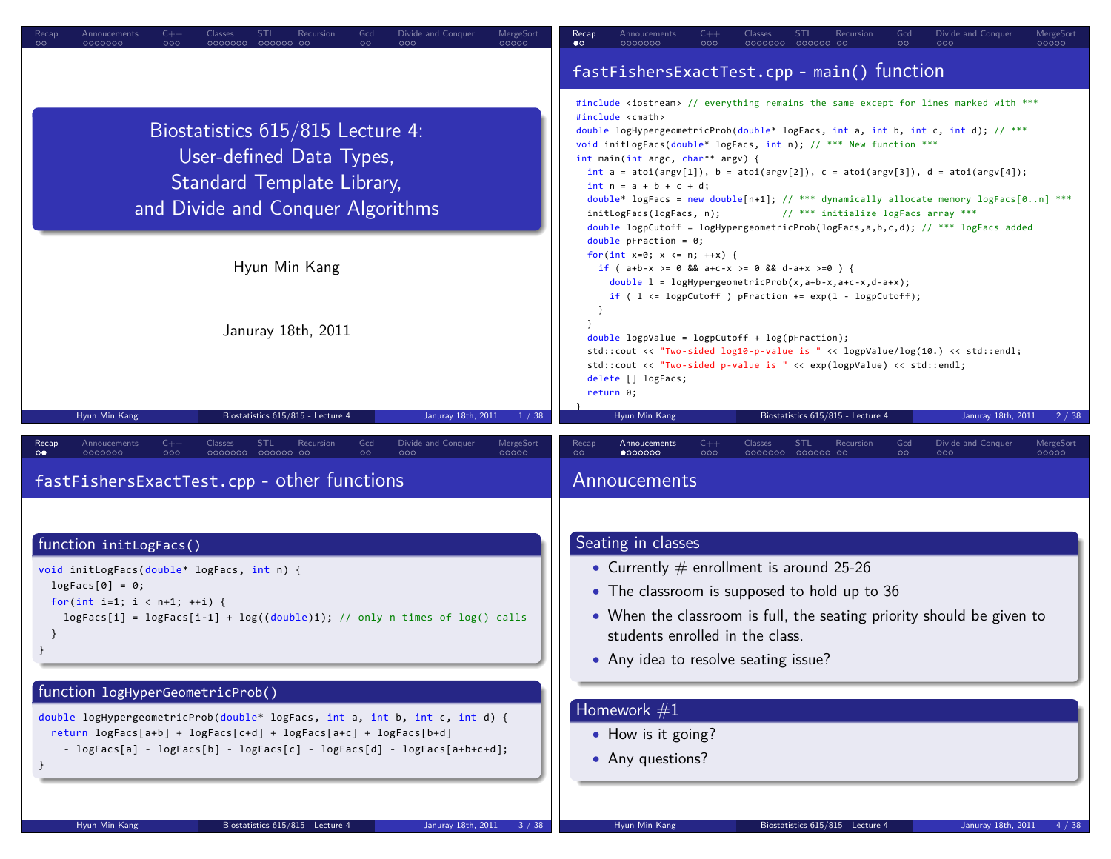| $C++$<br>Classes<br><b>STL</b><br>Divide and Conquer<br>MergeSort<br>Recursion<br>Recap<br>Annoucements<br>Gcd<br>000000 00<br>000<br>00000<br>OOC<br>0000000                                                                                    | <b>STL</b><br>Divide and Conquer<br>Annoucements<br>$C++$<br>Classes<br>Recursion<br>Gcd<br>MergeSort<br>Recap<br>0000000<br>000000 00<br>00000<br>$\bullet \circ$<br>0000000<br>000                                                                                                                                                                                                                                                                                                                                                                                                                                                                                                                                                                                               |
|--------------------------------------------------------------------------------------------------------------------------------------------------------------------------------------------------------------------------------------------------|------------------------------------------------------------------------------------------------------------------------------------------------------------------------------------------------------------------------------------------------------------------------------------------------------------------------------------------------------------------------------------------------------------------------------------------------------------------------------------------------------------------------------------------------------------------------------------------------------------------------------------------------------------------------------------------------------------------------------------------------------------------------------------|
|                                                                                                                                                                                                                                                  | fastFishersExactTest.cpp - main() function                                                                                                                                                                                                                                                                                                                                                                                                                                                                                                                                                                                                                                                                                                                                         |
| Biostatistics 615/815 Lecture 4:<br>User-defined Data Types,<br>Standard Template Library,<br>and Divide and Conquer Algorithms                                                                                                                  | #include <iostream> // everything remains the same except for lines marked with ***<br/>#include <cmath><br/>double logHypergeometricProb(double* logFacs, int a, int b, int c, int d); // ***<br/>void initLogFacs(double* logFacs, int n); // *** New function ***<br/>int main(int argc, char** argv) {<br/>int <math>a = \text{atoi}(\text{argv}[1]), b = \text{atoi}(\text{argv}[2]), c = \text{atoi}(\text{argv}[3]), d = \text{atoi}(\text{argv}[4]);</math><br/><math>int n = a + b + c + d;</math><br/>double* logFacs = new double[n+1]; // *** dynamically allocate memory logFacs[0n] ***<br/>// *** initialize logFacs array ***<br/>initLogFacs(logFacs, n);<br/>double logpCutoff = logHypergeometricProb(logFacs,a,b,c,d); // *** logFacs added</cmath></iostream> |
| Hyun Min Kang                                                                                                                                                                                                                                    | double pFraction = $0;$<br>for(int $x=0$ ; $x \le n$ ; $++x$ ) {<br>if ( $a+b-x$ >= 0 && $a+c-x$ >= 0 && $d-a+x$ >=0 ) {<br>double $1 = \text{logHypergeometricProb}(x, a+b-x, a+c-x, d-a+x);$<br>if ( $1 \leq log\text{Cutoff}$ ) pFraction += $exp(1 - log\text{Cutoff})$ ;<br>- }                                                                                                                                                                                                                                                                                                                                                                                                                                                                                               |
| Januray 18th, 2011                                                                                                                                                                                                                               | $double$ logpValue = logpCutoff + log(pFraction);<br>std::cout << "Two-sided log10-p-value is " << logpValue/log(10.) << std::endl;<br>std::cout << "Two-sided p-value is " << exp(logpValue) << std::endl;<br>delete [] logFacs;<br>return 0;                                                                                                                                                                                                                                                                                                                                                                                                                                                                                                                                     |
| Hyun Min Kang<br>Januray 18th, 2011<br>Biostatistics 615/815 - Lecture 4<br>1/38                                                                                                                                                                 | Biostatistics 615/815 - Lecture 4<br>Hyun Min Kang<br>Januray 18th, 2011<br>2/38                                                                                                                                                                                                                                                                                                                                                                                                                                                                                                                                                                                                                                                                                                   |
|                                                                                                                                                                                                                                                  |                                                                                                                                                                                                                                                                                                                                                                                                                                                                                                                                                                                                                                                                                                                                                                                    |
| $C++$<br>Gcd<br>Divide and Conquer<br>MergeSort<br>Recap<br>Annoucements<br>Classes<br><b>STL</b><br>Recursion<br>$\circ$<br>0000000<br>000<br>0000000 000000 00<br>$\circ\bullet$<br>000<br>00000<br>fastFishersExactTest.cpp - other functions | Gcd<br>Divide and Conquer<br>MergeSort<br>Recap<br>Annoucements<br>Classes<br><b>STL</b><br>Recursion<br>$\circ$<br>$\bullet$ 000000<br>0000000 000000 00<br>$\circ$<br>000<br>00000<br>000<br>Annoucements                                                                                                                                                                                                                                                                                                                                                                                                                                                                                                                                                                        |
|                                                                                                                                                                                                                                                  |                                                                                                                                                                                                                                                                                                                                                                                                                                                                                                                                                                                                                                                                                                                                                                                    |
| function initLogFacs()                                                                                                                                                                                                                           | Seating in classes                                                                                                                                                                                                                                                                                                                                                                                                                                                                                                                                                                                                                                                                                                                                                                 |
| void initLogFacs(double* logFacs, int n) {                                                                                                                                                                                                       | • Currently $#$ enrollment is around 25-26                                                                                                                                                                                                                                                                                                                                                                                                                                                                                                                                                                                                                                                                                                                                         |
| $logFacs[0] = 0;$<br>for(int i=1; $i < n+1$ ; ++i) {                                                                                                                                                                                             | • The classroom is supposed to hold up to 36                                                                                                                                                                                                                                                                                                                                                                                                                                                                                                                                                                                                                                                                                                                                       |
| $logFacs[i] = logFacs[i-1] + log((double)i); // only n times of log() calls$                                                                                                                                                                     | • When the classroom is full, the seating priority should be given to<br>students enrolled in the class.                                                                                                                                                                                                                                                                                                                                                                                                                                                                                                                                                                                                                                                                           |
|                                                                                                                                                                                                                                                  | • Any idea to resolve seating issue?                                                                                                                                                                                                                                                                                                                                                                                                                                                                                                                                                                                                                                                                                                                                               |
| function logHyperGeometricProb()                                                                                                                                                                                                                 |                                                                                                                                                                                                                                                                                                                                                                                                                                                                                                                                                                                                                                                                                                                                                                                    |
| double logHypergeometricProb(double* logFacs, int a, int b, int c, int d) {                                                                                                                                                                      | Homework $\#1$                                                                                                                                                                                                                                                                                                                                                                                                                                                                                                                                                                                                                                                                                                                                                                     |
| return logFacs[a+b] + logFacs[c+d] + logFacs[a+c] + logFacs[b+d]<br>- $logFacs[a] - logFacs[b] - logFacs[c] - logFacs[d] - logFacs[akb+c+d];$                                                                                                    | • How is it going?                                                                                                                                                                                                                                                                                                                                                                                                                                                                                                                                                                                                                                                                                                                                                                 |
| }                                                                                                                                                                                                                                                | • Any questions?                                                                                                                                                                                                                                                                                                                                                                                                                                                                                                                                                                                                                                                                                                                                                                   |
| Hyun Min Kang<br>Biostatistics 615/815 - Lecture 4<br>Januray 18th, 2011 3 / 38                                                                                                                                                                  | Hyun Min Kang<br>Biostatistics 615/815 - Lecture 4<br>Januray 18th, 2011<br>4 / 38                                                                                                                                                                                                                                                                                                                                                                                                                                                                                                                                                                                                                                                                                                 |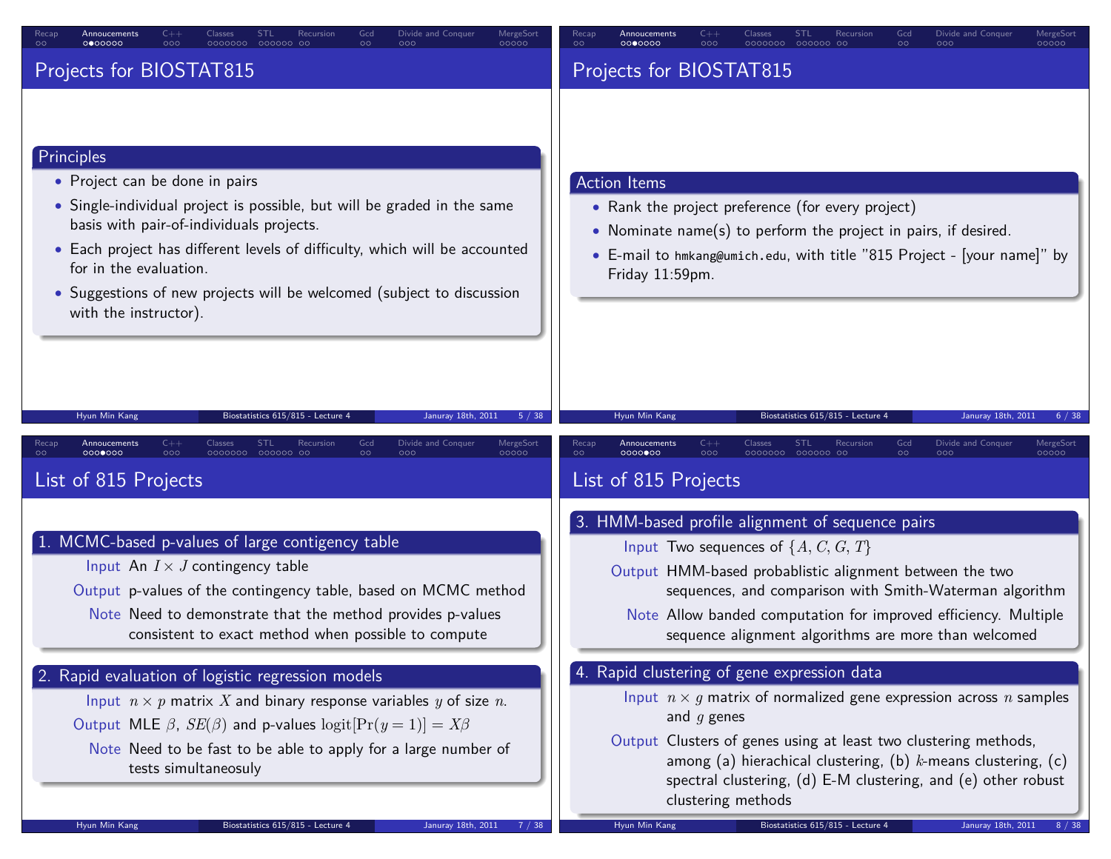| Divide and Conquer<br>Recar<br>Annoucements<br>STI<br>Recursior<br>Gcd<br>MergeSor<br>0000000<br>0000000<br>000000 00<br>$\circ$<br>$\circ$<br>000<br>000<br>00000                                                                                                                                                                                                            | Divide and Conquer<br>MergeSor<br>Annoucements<br>STI<br>Recursion<br>Gcd<br>$\circ$<br>0000000<br>000<br>0000000<br>000000 00<br>$\circ$<br>000<br>00000                                                                                                                                                                                                              |
|-------------------------------------------------------------------------------------------------------------------------------------------------------------------------------------------------------------------------------------------------------------------------------------------------------------------------------------------------------------------------------|------------------------------------------------------------------------------------------------------------------------------------------------------------------------------------------------------------------------------------------------------------------------------------------------------------------------------------------------------------------------|
| Projects for BIOSTAT815                                                                                                                                                                                                                                                                                                                                                       | Projects for BIOSTAT815                                                                                                                                                                                                                                                                                                                                                |
| Principles<br>• Project can be done in pairs<br>• Single-individual project is possible, but will be graded in the same<br>basis with pair-of-individuals projects.<br>• Each project has different levels of difficulty, which will be accounted<br>for in the evaluation.<br>• Suggestions of new projects will be welcomed (subject to discussion<br>with the instructor). | <b>Action Items</b><br>• Rank the project preference (for every project)<br>• Nominate name(s) to perform the project in pairs, if desired.<br>• E-mail to hmkang@umich.edu, with title "815 Project - [your name]" by<br>Friday 11:59pm.                                                                                                                              |
| Hyun Min Kang<br>Biostatistics 615/815 - Lecture 4<br>Januray 18th, 2011<br>5/38<br>$C++$<br><b>STL</b><br>Gcd<br>Divide and Conquer<br>MergeSort<br>Classes<br>Recursion<br>Recap<br>Annoucements<br>00000000<br>000<br>0000000 000000 00<br>$\circ$<br>000<br>00000<br>List of 815 Projects                                                                                 | Hyun Min Kang<br>Biostatistics 615/815 - Lecture 4<br>Januray 18th, 2011<br>$C++$<br><b>STL</b><br>Gcd<br>Divide and Conquer<br>Recap<br>Annoucements<br>Classes<br>Recursion<br>MergeSort<br>00000000<br>000<br>$\circ$<br>0000000<br>000000 00<br>$\circ$<br>000<br>00000<br>List of 815 Projects                                                                    |
| 1. MCMC-based p-values of large contigency table<br>Input An $I \times J$ contingency table<br>Output p-values of the contingency table, based on MCMC method<br>Note Need to demonstrate that the method provides p-values<br>consistent to exact method when possible to compute                                                                                            | 3. HMM-based profile alignment of sequence pairs<br>Input Two sequences of $\{A, C, G, T\}$<br>Output HMM-based probablistic alignment between the two<br>sequences, and comparison with Smith-Waterman algorithm<br>Note Allow banded computation for improved efficiency. Multiple<br>sequence alignment algorithms are more than welcomed                           |
| 2. Rapid evaluation of logistic regression models<br>Input $n \times p$ matrix X and binary response variables y of size n.<br>Output MLE $\beta$ , $SE(\beta)$ and p-values logit $[Pr(y = 1)] = X\beta$<br>Note Need to be fast to be able to apply for a large number of<br>tests simultaneosuly                                                                           | 4. Rapid clustering of gene expression data<br>Input $n \times g$ matrix of normalized gene expression across n samples<br>and $g$ genes<br>Output Clusters of genes using at least two clustering methods,<br>among (a) hierachical clustering, (b) $k$ -means clustering, (c)<br>spectral clustering, (d) E-M clustering, and (e) other robust<br>clustering methods |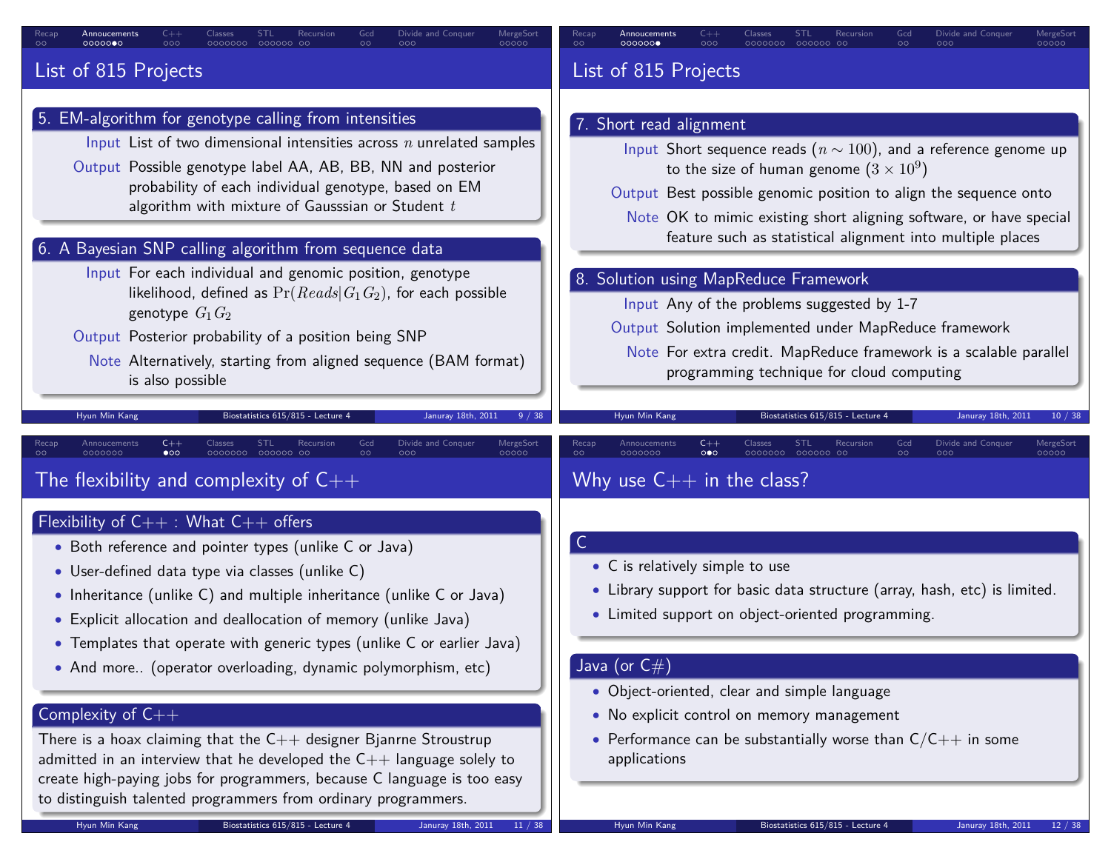| Divide and Conquer<br>MergeSort<br>STL<br>Recursion<br>Annoucements<br>00000<br>ററററാ                                                                                                                                                                                                                                                                                                                                                                                                                                                                                                                                                                                                                                                                | Divide and Conquer<br>MergeSort<br>Annoucements<br>STL<br>Recursion<br>Gcd<br>00000<br>000000 <b>0</b>                                                                                                                                                                                                                                                                                                                                                                                                                                                                                                                                                                                                          |
|------------------------------------------------------------------------------------------------------------------------------------------------------------------------------------------------------------------------------------------------------------------------------------------------------------------------------------------------------------------------------------------------------------------------------------------------------------------------------------------------------------------------------------------------------------------------------------------------------------------------------------------------------------------------------------------------------------------------------------------------------|-----------------------------------------------------------------------------------------------------------------------------------------------------------------------------------------------------------------------------------------------------------------------------------------------------------------------------------------------------------------------------------------------------------------------------------------------------------------------------------------------------------------------------------------------------------------------------------------------------------------------------------------------------------------------------------------------------------------|
| List of 815 Projects                                                                                                                                                                                                                                                                                                                                                                                                                                                                                                                                                                                                                                                                                                                                 | List of 815 Projects                                                                                                                                                                                                                                                                                                                                                                                                                                                                                                                                                                                                                                                                                            |
| 5. EM-algorithm for genotype calling from intensities<br>Input List of two dimensional intensities across $n$ unrelated samples<br>Output Possible genotype label AA, AB, BB, NN and posterior<br>probability of each individual genotype, based on EM<br>algorithm with mixture of Gausssian or Student $t$<br>6. A Bayesian SNP calling algorithm from sequence data<br>Input For each individual and genomic position, genotype<br>likelihood, defined as $Pr(Reads G_1G_2)$ , for each possible<br>genotype $G_1 G_2$<br>Output Posterior probability of a position being SNP<br>Note Alternatively, starting from aligned sequence (BAM format)<br>is also possible<br>Biostatistics 615/815 - Lecture 4<br>Hyun Min Kang<br>Januray 18th, 2011 | 7. Short read alignment<br>Input Short sequence reads ( $n \sim 100$ ), and a reference genome up<br>to the size of human genome $(3 \times 10^9)$<br>Output Best possible genomic position to align the sequence onto<br>Note OK to mimic existing short aligning software, or have special<br>feature such as statistical alignment into multiple places<br>8. Solution using MapReduce Framework<br>Input Any of the problems suggested by 1-7<br>Output Solution implemented under MapReduce framework<br>Note For extra credit. MapReduce framework is a scalable parallel<br>programming technique for cloud computing<br>Hyun Min Kang<br>Biostatistics 615/815 - Lecture<br>Januray 18th, 2011<br>10/38 |
| $C++$<br>Annoucements<br>Classes<br>STL<br>Recursion<br>Divide and Conquer<br>MergeSort<br>Recap<br>0000000<br>$\bullet$ 00<br>0000000<br>000000 00<br>00000<br>The flexibility and complexity of $C++$                                                                                                                                                                                                                                                                                                                                                                                                                                                                                                                                              | MergeSort<br>Annoucements<br>$C++$<br>Classes<br>STL<br>Recursion<br>Gcd<br>Divide and Conquer<br>Recap<br>0000000<br>$\circ \bullet \circ$<br>0000000 000000 00<br>$\circ$<br>00000<br>$\circ$<br>Why use $C++$ in the class?                                                                                                                                                                                                                                                                                                                                                                                                                                                                                  |
| Flexibility of $C++$ : What $C++$ offers<br>• Both reference and pointer types (unlike C or Java)<br>• User-defined data type via classes (unlike C)<br>• Inheritance (unlike C) and multiple inheritance (unlike C or Java)<br>• Explicit allocation and deallocation of memory (unlike Java)<br>• Templates that operate with generic types (unlike C or earlier Java)<br>• And more (operator overloading, dynamic polymorphism, etc)<br>Complexity of C++<br>There is a hoax claiming that the $C++$ designer Bjanrne Stroustrup                                                                                                                                                                                                                 | • C is relatively simple to use<br>• Library support for basic data structure (array, hash, etc) is limited.<br>• Limited support on object-oriented programming.<br>Java (or $\mathsf{C}\#$ )<br>• Object-oriented, clear and simple language<br>• No explicit control on memory management<br>• Performance can be substantially worse than $C/C++$ in some                                                                                                                                                                                                                                                                                                                                                   |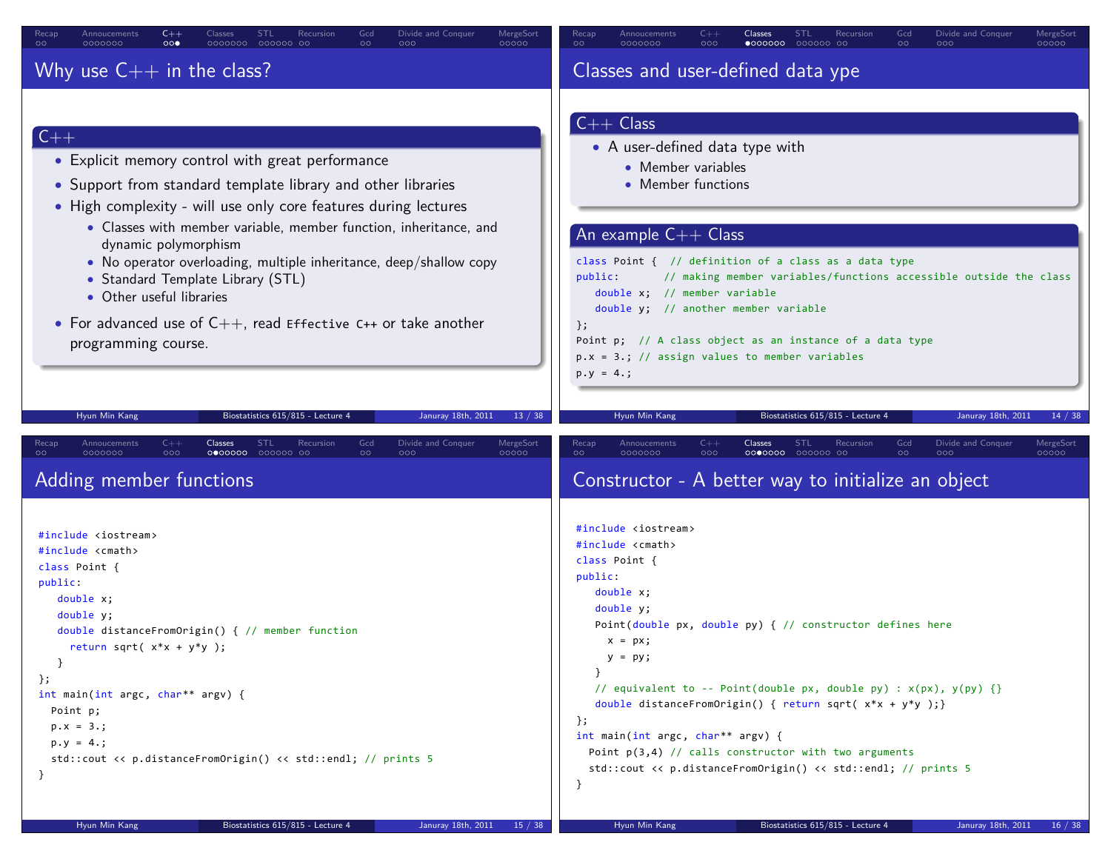| $C++$                                                                                                                                                                                                                                                                                                                                                                                                                                                                                                                                                                                                      | $C++$                                                                                                                                                                                                                                                                                                                                                                                                                                                                                                                                            |
|------------------------------------------------------------------------------------------------------------------------------------------------------------------------------------------------------------------------------------------------------------------------------------------------------------------------------------------------------------------------------------------------------------------------------------------------------------------------------------------------------------------------------------------------------------------------------------------------------------|--------------------------------------------------------------------------------------------------------------------------------------------------------------------------------------------------------------------------------------------------------------------------------------------------------------------------------------------------------------------------------------------------------------------------------------------------------------------------------------------------------------------------------------------------|
| Classes                                                                                                                                                                                                                                                                                                                                                                                                                                                                                                                                                                                                    | Classes                                                                                                                                                                                                                                                                                                                                                                                                                                                                                                                                          |
| <b>STL</b>                                                                                                                                                                                                                                                                                                                                                                                                                                                                                                                                                                                                 | <b>STL</b>                                                                                                                                                                                                                                                                                                                                                                                                                                                                                                                                       |
| Recursion                                                                                                                                                                                                                                                                                                                                                                                                                                                                                                                                                                                                  | Recursion                                                                                                                                                                                                                                                                                                                                                                                                                                                                                                                                        |
| Gcd                                                                                                                                                                                                                                                                                                                                                                                                                                                                                                                                                                                                        | Gcd                                                                                                                                                                                                                                                                                                                                                                                                                                                                                                                                              |
| Divide and Conquer                                                                                                                                                                                                                                                                                                                                                                                                                                                                                                                                                                                         | Divide and Conquer                                                                                                                                                                                                                                                                                                                                                                                                                                                                                                                               |
| MergeSort                                                                                                                                                                                                                                                                                                                                                                                                                                                                                                                                                                                                  | MergeSort                                                                                                                                                                                                                                                                                                                                                                                                                                                                                                                                        |
| Annoucements                                                                                                                                                                                                                                                                                                                                                                                                                                                                                                                                                                                               | Annoucements                                                                                                                                                                                                                                                                                                                                                                                                                                                                                                                                     |
| Recap                                                                                                                                                                                                                                                                                                                                                                                                                                                                                                                                                                                                      | Recap                                                                                                                                                                                                                                                                                                                                                                                                                                                                                                                                            |
| $\circ\circ\bullet$                                                                                                                                                                                                                                                                                                                                                                                                                                                                                                                                                                                        | $\bullet$ 000000 000000 00                                                                                                                                                                                                                                                                                                                                                                                                                                                                                                                       |
| 0000000 000000 00                                                                                                                                                                                                                                                                                                                                                                                                                                                                                                                                                                                          | 00000                                                                                                                                                                                                                                                                                                                                                                                                                                                                                                                                            |
| 00000                                                                                                                                                                                                                                                                                                                                                                                                                                                                                                                                                                                                      | $\circ$                                                                                                                                                                                                                                                                                                                                                                                                                                                                                                                                          |
| $\circ$                                                                                                                                                                                                                                                                                                                                                                                                                                                                                                                                                                                                    | 0000000                                                                                                                                                                                                                                                                                                                                                                                                                                                                                                                                          |
| 0000000                                                                                                                                                                                                                                                                                                                                                                                                                                                                                                                                                                                                    | 000                                                                                                                                                                                                                                                                                                                                                                                                                                                                                                                                              |
| $\circ$                                                                                                                                                                                                                                                                                                                                                                                                                                                                                                                                                                                                    | $\circ$                                                                                                                                                                                                                                                                                                                                                                                                                                                                                                                                          |
| 000                                                                                                                                                                                                                                                                                                                                                                                                                                                                                                                                                                                                        | 000                                                                                                                                                                                                                                                                                                                                                                                                                                                                                                                                              |
| Why use $C++$ in the class?                                                                                                                                                                                                                                                                                                                                                                                                                                                                                                                                                                                | Classes and user-defined data ype                                                                                                                                                                                                                                                                                                                                                                                                                                                                                                                |
| $C++$<br>• Explicit memory control with great performance<br>• Support from standard template library and other libraries<br>• High complexity - will use only core features during lectures<br>• Classes with member variable, member function, inheritance, and<br>dynamic polymorphism<br>• No operator overloading, multiple inheritance, deep/shallow copy<br>• Standard Template Library (STL)<br>• Other useful libraries<br>• For advanced use of $C_{++}$ , read Effective C++ or take another<br>programming course.<br>Hyun Min Kang<br>Biostatistics 615/815 - Lecture 4<br>Januray 18th, 2011 | $C++$ Class<br>• A user-defined data type with<br>• Member variables<br>• Member functions<br>An example $C++$ Class<br>class Point $\{$ // definition of a class as a data type<br>// making member variables/functions accessible outside the class<br>public:<br>double $x$ ; // member variable<br>double y; // another member variable<br>$\}$ ;<br>Point p; // A class object as an instance of a data type<br>$p.x = 3.; // assign values to member variables$<br>$p.y = 4.$ ;<br>Biostatistics 615/815 - Lecture 4<br>Januray 18th, 2011 |
| 13 / 38                                                                                                                                                                                                                                                                                                                                                                                                                                                                                                                                                                                                    | Hyun Min Kang                                                                                                                                                                                                                                                                                                                                                                                                                                                                                                                                    |
| Divide and Conquer                                                                                                                                                                                                                                                                                                                                                                                                                                                                                                                                                                                         | 14 / 38                                                                                                                                                                                                                                                                                                                                                                                                                                                                                                                                          |
| Annoucements                                                                                                                                                                                                                                                                                                                                                                                                                                                                                                                                                                                               | <b>STL</b>                                                                                                                                                                                                                                                                                                                                                                                                                                                                                                                                       |
| $C++$                                                                                                                                                                                                                                                                                                                                                                                                                                                                                                                                                                                                      | Divide and Conquer                                                                                                                                                                                                                                                                                                                                                                                                                                                                                                                               |
| Classes                                                                                                                                                                                                                                                                                                                                                                                                                                                                                                                                                                                                    | Recap                                                                                                                                                                                                                                                                                                                                                                                                                                                                                                                                            |
| <b>STL</b>                                                                                                                                                                                                                                                                                                                                                                                                                                                                                                                                                                                                 | Annoucements                                                                                                                                                                                                                                                                                                                                                                                                                                                                                                                                     |
| Recursion                                                                                                                                                                                                                                                                                                                                                                                                                                                                                                                                                                                                  | $C++$                                                                                                                                                                                                                                                                                                                                                                                                                                                                                                                                            |
| Gcd                                                                                                                                                                                                                                                                                                                                                                                                                                                                                                                                                                                                        | Classes                                                                                                                                                                                                                                                                                                                                                                                                                                                                                                                                          |
| MergeSort                                                                                                                                                                                                                                                                                                                                                                                                                                                                                                                                                                                                  | Recursion                                                                                                                                                                                                                                                                                                                                                                                                                                                                                                                                        |
| Recap                                                                                                                                                                                                                                                                                                                                                                                                                                                                                                                                                                                                      | Gcd                                                                                                                                                                                                                                                                                                                                                                                                                                                                                                                                              |
| 000                                                                                                                                                                                                                                                                                                                                                                                                                                                                                                                                                                                                        | MergeSort                                                                                                                                                                                                                                                                                                                                                                                                                                                                                                                                        |
| 000000 00                                                                                                                                                                                                                                                                                                                                                                                                                                                                                                                                                                                                  | 0000000                                                                                                                                                                                                                                                                                                                                                                                                                                                                                                                                          |
| $\circ \circ$                                                                                                                                                                                                                                                                                                                                                                                                                                                                                                                                                                                              | 0000000 000000 00                                                                                                                                                                                                                                                                                                                                                                                                                                                                                                                                |
| $\circ$                                                                                                                                                                                                                                                                                                                                                                                                                                                                                                                                                                                                    | $\circ$                                                                                                                                                                                                                                                                                                                                                                                                                                                                                                                                          |
| 0000000                                                                                                                                                                                                                                                                                                                                                                                                                                                                                                                                                                                                    | 000                                                                                                                                                                                                                                                                                                                                                                                                                                                                                                                                              |
| 0000000                                                                                                                                                                                                                                                                                                                                                                                                                                                                                                                                                                                                    | $\circ$                                                                                                                                                                                                                                                                                                                                                                                                                                                                                                                                          |
| 000                                                                                                                                                                                                                                                                                                                                                                                                                                                                                                                                                                                                        | 000                                                                                                                                                                                                                                                                                                                                                                                                                                                                                                                                              |
| 00000                                                                                                                                                                                                                                                                                                                                                                                                                                                                                                                                                                                                      | 00000                                                                                                                                                                                                                                                                                                                                                                                                                                                                                                                                            |
| Adding member functions                                                                                                                                                                                                                                                                                                                                                                                                                                                                                                                                                                                    | Constructor - A better way to initialize an object                                                                                                                                                                                                                                                                                                                                                                                                                                                                                               |
| #include <iostream></iostream>                                                                                                                                                                                                                                                                                                                                                                                                                                                                                                                                                                             | #include <iostream></iostream>                                                                                                                                                                                                                                                                                                                                                                                                                                                                                                                   |
| #include <cmath></cmath>                                                                                                                                                                                                                                                                                                                                                                                                                                                                                                                                                                                   | #include <cmath></cmath>                                                                                                                                                                                                                                                                                                                                                                                                                                                                                                                         |
| class Point {                                                                                                                                                                                                                                                                                                                                                                                                                                                                                                                                                                                              | class Point {                                                                                                                                                                                                                                                                                                                                                                                                                                                                                                                                    |
| public:                                                                                                                                                                                                                                                                                                                                                                                                                                                                                                                                                                                                    | public:                                                                                                                                                                                                                                                                                                                                                                                                                                                                                                                                          |
| double x;                                                                                                                                                                                                                                                                                                                                                                                                                                                                                                                                                                                                  | double x;                                                                                                                                                                                                                                                                                                                                                                                                                                                                                                                                        |
| double y;                                                                                                                                                                                                                                                                                                                                                                                                                                                                                                                                                                                                  | double y;                                                                                                                                                                                                                                                                                                                                                                                                                                                                                                                                        |
| double distanceFromOrigin() { // member function                                                                                                                                                                                                                                                                                                                                                                                                                                                                                                                                                           | Point(double px, double py) { // constructor defines here                                                                                                                                                                                                                                                                                                                                                                                                                                                                                        |
| return sqrt( $x*x + y*y$ );                                                                                                                                                                                                                                                                                                                                                                                                                                                                                                                                                                                | $x = px;$                                                                                                                                                                                                                                                                                                                                                                                                                                                                                                                                        |
| }                                                                                                                                                                                                                                                                                                                                                                                                                                                                                                                                                                                                          | $y = py;$                                                                                                                                                                                                                                                                                                                                                                                                                                                                                                                                        |
| $\}$ ;                                                                                                                                                                                                                                                                                                                                                                                                                                                                                                                                                                                                     | // equivalent to -- Point(double px, double py) : x(px), y(py) {}                                                                                                                                                                                                                                                                                                                                                                                                                                                                                |
| int main(int argc, char** argv) {                                                                                                                                                                                                                                                                                                                                                                                                                                                                                                                                                                          | double distanceFromOrigin() { return sqrt( $x*x + y*y$ ); }                                                                                                                                                                                                                                                                                                                                                                                                                                                                                      |
| Point p;                                                                                                                                                                                                                                                                                                                                                                                                                                                                                                                                                                                                   | $\cdot$                                                                                                                                                                                                                                                                                                                                                                                                                                                                                                                                          |
| $p.x = 3.$ ;                                                                                                                                                                                                                                                                                                                                                                                                                                                                                                                                                                                               | int main(int argc, char** argv) {                                                                                                                                                                                                                                                                                                                                                                                                                                                                                                                |
| $p.y = 4.$ ;                                                                                                                                                                                                                                                                                                                                                                                                                                                                                                                                                                                               | Point $p(3,4)$ // calls constructor with two arguments                                                                                                                                                                                                                                                                                                                                                                                                                                                                                           |
| std::cout << p.distanceFromOrigin() << std::endl; // prints 5                                                                                                                                                                                                                                                                                                                                                                                                                                                                                                                                              | std::cout << p.distanceFromOrigin() << std::endl; // prints 5                                                                                                                                                                                                                                                                                                                                                                                                                                                                                    |
| }                                                                                                                                                                                                                                                                                                                                                                                                                                                                                                                                                                                                          | }                                                                                                                                                                                                                                                                                                                                                                                                                                                                                                                                                |

Hyun Min Kang Biostatistics 615/815 - Lecture 4 Januray 18th, 2011 16 / 38

Hyun Min Kang Biostatistics 615/815 - Lecture 4 Januray 18th, 2011 15 / 38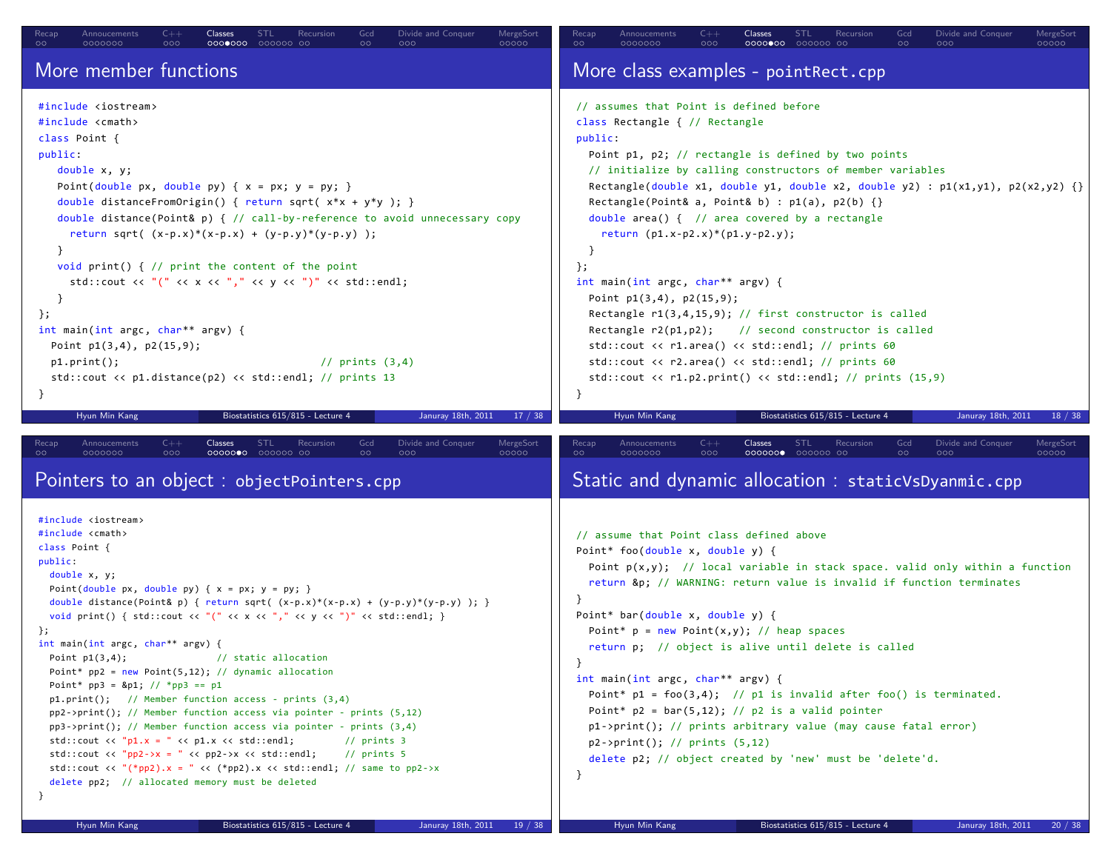| $C++$<br>Annoucements<br><b>Classes</b><br><b>STL</b><br>Recursion<br>Gcd<br>Divide and Conquer<br>MergeSort<br>Recap<br>000<br>0000000<br>00000<br>0000000<br>000000 00<br>$\circ$<br>000                                                                                                                                                                                                                                                                                                                                                                                                                                                                                                                                                                                                                                                                                                                                                                                                                                                                                                                                                                                                                                                                                                                                                                                                   | MergeSort<br>0000000<br>00000<br>$\circ$<br>000<br>0000000<br>000000 00<br>00<br>000                                                                                                                                                                                                                                                                                                                                                                                                                                                                                                                                                                                                                                                                                                                                                                              |
|----------------------------------------------------------------------------------------------------------------------------------------------------------------------------------------------------------------------------------------------------------------------------------------------------------------------------------------------------------------------------------------------------------------------------------------------------------------------------------------------------------------------------------------------------------------------------------------------------------------------------------------------------------------------------------------------------------------------------------------------------------------------------------------------------------------------------------------------------------------------------------------------------------------------------------------------------------------------------------------------------------------------------------------------------------------------------------------------------------------------------------------------------------------------------------------------------------------------------------------------------------------------------------------------------------------------------------------------------------------------------------------------|-------------------------------------------------------------------------------------------------------------------------------------------------------------------------------------------------------------------------------------------------------------------------------------------------------------------------------------------------------------------------------------------------------------------------------------------------------------------------------------------------------------------------------------------------------------------------------------------------------------------------------------------------------------------------------------------------------------------------------------------------------------------------------------------------------------------------------------------------------------------|
| More member functions                                                                                                                                                                                                                                                                                                                                                                                                                                                                                                                                                                                                                                                                                                                                                                                                                                                                                                                                                                                                                                                                                                                                                                                                                                                                                                                                                                        | More class examples - pointRect.cpp                                                                                                                                                                                                                                                                                                                                                                                                                                                                                                                                                                                                                                                                                                                                                                                                                               |
| #include <iostream><br/>#include <cmath><br/>class Point {<br/>public:<br/>double <math>x, y;</math><br/>Point(double px, double py) { <math>x = px</math>; <math>y = py</math>; }<br/>double distanceFromOrigin() { return sqrt( x*x + y*y ); }<br/>double distance(Point&amp; p) { // call-by-reference to avoid unnecessary copy<br/>return sqrt( <math>(x-p.x)*(x-p.x) + (y-p.y)*(y-p.y)</math> );<br/><math>\}</math><br/>void print() { <math>//</math> print the content of the point<br/>std::cout &lt;&lt; "(" &lt;&lt; x &lt;&lt; "," &lt;&lt; y &lt;&lt; ")" &lt;&lt; std::endl;<br/>ł<br/><math>\}</math>;<br/>int main(int argc, char** argv) {<br/>Point <math>p1(3,4)</math>, <math>p2(15,9)</math>;<br/><math>p1.print()</math>;<br/><math>1/</math> prints <math>(3,4)</math><br/><math>std::count \leq p1.distance(p2) \leq std::end1; // prints 13</math><br/><math>\mathcal{F}</math></cmath></iostream>                                                                                                                                                                                                                                                                                                                                                                                                                                                                 | // assumes that Point is defined before<br>class Rectangle { // Rectangle<br>public:<br>Point p1, p2; // rectangle is defined by two points<br>// initialize by calling constructors of member variables<br>Rectangle(double x1, double y1, double x2, double y2) : $p1(x1,y1)$ , $p2(x2,y2)$ {}<br>Rectangle(Point& a, Point& b) : $p1(a)$ , $p2(b)$ {}<br>double area() $\{$ // area covered by a rectangle<br>return $(p1.x-p2.x)*(p1.y-p2.y);$<br>}<br>$\}$ ;<br>int main(int argc, char** argv) {<br>Point $p1(3,4)$ , $p2(15,9)$ ;<br>Rectangle $r1(3,4,15,9)$ ; // first constructor is called<br>Rectangle r2(p1,p2); // second constructor is called<br>$std::count \iff r1.name() \iff std::end1; // prints 60$<br>std::cout << r2.area() << std::endl; // prints 60<br>$std::count \le r1.p2.print() \le std::end1; // prints (15,9)$<br>$\mathcal{F}$ |
| Hyun Min Kang<br>Biostatistics 615/815 - Lecture 4<br>Januray 18th, 2011<br>17 / 38                                                                                                                                                                                                                                                                                                                                                                                                                                                                                                                                                                                                                                                                                                                                                                                                                                                                                                                                                                                                                                                                                                                                                                                                                                                                                                          | Biostatistics 615/815 - Lecture 4<br>Hyun Min Kang<br>Januray 18th, 2011<br>18 / 38                                                                                                                                                                                                                                                                                                                                                                                                                                                                                                                                                                                                                                                                                                                                                                               |
| <b>STL</b><br>Divide and Conquer<br>MergeSort<br>Recap<br>Annoucements<br>$C++$<br>Classes<br>Recursion<br>Gcd<br>$\circ$<br>0000000<br>000<br>0000000<br>000000 00<br>$\circ$<br>000<br>00000                                                                                                                                                                                                                                                                                                                                                                                                                                                                                                                                                                                                                                                                                                                                                                                                                                                                                                                                                                                                                                                                                                                                                                                               | <b>STL</b><br>Divide and Conquer<br>MergeSort<br>Recap<br>Annoucements<br>$C++$<br><b>Classes</b><br>Recursion<br>Gcd<br>$\circ$<br>0000000<br>000<br>000000<br>000000 00<br>$\circ$<br>000<br>00000                                                                                                                                                                                                                                                                                                                                                                                                                                                                                                                                                                                                                                                              |
|                                                                                                                                                                                                                                                                                                                                                                                                                                                                                                                                                                                                                                                                                                                                                                                                                                                                                                                                                                                                                                                                                                                                                                                                                                                                                                                                                                                              |                                                                                                                                                                                                                                                                                                                                                                                                                                                                                                                                                                                                                                                                                                                                                                                                                                                                   |
| Pointers to an object : objectPointers.cpp                                                                                                                                                                                                                                                                                                                                                                                                                                                                                                                                                                                                                                                                                                                                                                                                                                                                                                                                                                                                                                                                                                                                                                                                                                                                                                                                                   | Static and dynamic allocation : staticVsDyanmic.cpp                                                                                                                                                                                                                                                                                                                                                                                                                                                                                                                                                                                                                                                                                                                                                                                                               |
| #include <iostream><br/>#include <cmath><br/>class Point {<br/>public:<br/>double <math>x, y;</math><br/>Point(double px, double py) { <math>x = px</math>; <math>y = py</math>; }<br/>double distance(Point&amp; p) { return sqrt( <math>(x-p.x)*(x-p.x) + (y-p.y)*(y-p.y)</math> ); }<br/>void print() { <math>std::count \ll "\ll "\ll \ll \ll "\ll "\ll \ll \ll "\ll "\ll \ll \ll "\ll "\ll \ll \&gt; std::endl;</math> }<br/>};<br/>int main(int argc, char** argv) {<br/>// static allocation<br/>Point <math>p1(3,4)</math>;<br/>Point* <math>pp2</math> = new Point(5,12); // dynamic allocation<br/>Point* <math>pp3 = 8p1</math>; // *pp3 == p1<br/><math>p1.print()</math>; // Member function access - prints <math>(3,4)</math><br/><math>pp2\rightarrow print()</math>; // Member function access via pointer - prints <math>(5,12)</math><br/><math>pp3\rightarrow print()</math>; // Member function access via pointer - prints <math>(3,4)</math><br/>std::cout &lt;&lt; "<math>p1.x = " &lt;&lt; p1.x &lt;&lt; std::end1;</math><br/><math>//</math> prints <math>3</math><br/><math>std::count &lt;&lt; "pp2-&gt;x = " &lt;&lt; pp2-&gt;x &lt;&lt; std::end1;</math><br/><math>//</math> prints 5<br/>std::cout &lt;&lt; "(*pp2).x = " &lt;&lt; (*pp2).x &lt;&lt; std::endl; // same to pp2-&gt;x<br/>delete pp2; // allocated memory must be deleted</cmath></iostream> | // assume that Point class defined above<br>Point* $foo(double x, double y)$ {<br>Point $p(x,y)$ ; // local variable in stack space. valid only within a function<br>return &p // WARNING: return value is invalid if function terminates<br>Point* bar(double x, double y) {<br>Point* $p = new Point(x,y)$ ; // heap spaces<br>return p; // object is alive until delete is called<br>$\mathcal{F}$<br>int main(int argc, char** argv) {<br>Point* $p1 = foo(3,4);$ // $p1$ is invalid after foo() is terminated.<br>Point* $p2 = bar(5, 12)$ ; // $p2$ is a valid pointer<br>$p1\rightarrow print()$ ; // prints arbitrary value (may cause fatal error)<br>$p2\rightarrow print()$ ; // prints $(5,12)$<br>delete p2; // object created by 'new' must be 'delete'd.<br>−}                                                                                     |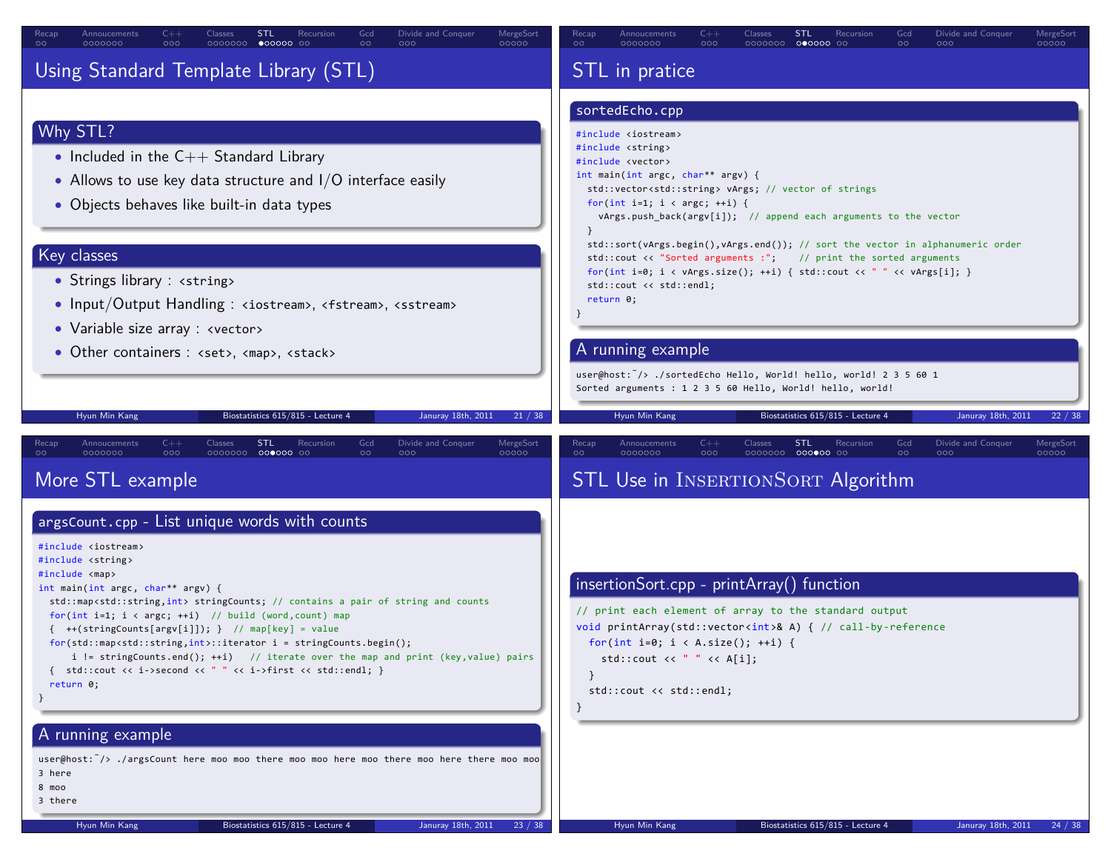| Gcd<br>Divide and Conquer<br>MergeSort<br>$C++$<br>Classes<br>STL<br>Recursion<br>Recap<br>Annoucements<br>$\circ$<br>000<br>0000000<br>$\circ$<br>0000000<br>$\bullet$ 00000 00<br>000<br>00000                                                                                                                                                                                                                                                                                                                                                                                                                                                                                                                                                                           | $C++$<br>Divide and Conquer<br>MergeSort<br>Recap<br>Annoucements<br>Classes<br>STL<br>Gcd<br>Recursion<br>$\circ$<br>0000000<br>000<br>$\circ$<br>00000<br>0000000<br>$000000$ $00$<br>000                                                                                                                                                                                                                                                                                                                                                                                                                                                                                                                  |
|----------------------------------------------------------------------------------------------------------------------------------------------------------------------------------------------------------------------------------------------------------------------------------------------------------------------------------------------------------------------------------------------------------------------------------------------------------------------------------------------------------------------------------------------------------------------------------------------------------------------------------------------------------------------------------------------------------------------------------------------------------------------------|--------------------------------------------------------------------------------------------------------------------------------------------------------------------------------------------------------------------------------------------------------------------------------------------------------------------------------------------------------------------------------------------------------------------------------------------------------------------------------------------------------------------------------------------------------------------------------------------------------------------------------------------------------------------------------------------------------------|
| Using Standard Template Library (STL)                                                                                                                                                                                                                                                                                                                                                                                                                                                                                                                                                                                                                                                                                                                                      | STL in pratice                                                                                                                                                                                                                                                                                                                                                                                                                                                                                                                                                                                                                                                                                               |
| Why STL?<br>• Included in the $C++$ Standard Library<br>• Allows to use key data structure and $1/O$ interface easily<br>• Objects behaves like built-in data types<br>Key classes<br>• Strings library : <string><br/>• Input/Output Handling : <iostream>, <fstream>, <sstream><br/>• Variable size array : <vector><br/>• Other containers : <set>, <map>, <stack></stack></map></set></vector></sstream></fstream></iostream></string>                                                                                                                                                                                                                                                                                                                                 | sortedEcho.cpp<br>#include <iostream><br/>#include <string><br/>#include <vector><br/>int main(int argc, char** argv) {<br/>std::vector<std::string> vArgs; // vector of strings<br/>for(int i=1; <math>i &lt; argc</math>; ++i) {<br/>vArgs.push_back(argv[i]); // append each arguments to the vector<br/><math>\mathcal{F}</math><br/>std::sort(vArgs.begin(),vArgs.end()); // sort the vector in alphanumeric order<br/>std::cout &lt;&lt; "Sorted arguments :"; // print the sorted arguments<br/>for(int i=0; i &lt; vArgs.size(); ++i) { std::cout &lt;&lt; " " &lt;&lt; vArgs[i]; }<br/>std::cout &lt;&lt; std::endl;<br/>return 0;<br/>A running example</std::string></vector></string></iostream> |
|                                                                                                                                                                                                                                                                                                                                                                                                                                                                                                                                                                                                                                                                                                                                                                            | user@host: /> ./sortedEcho Hello, World! hello, world! 2 3 5 60 1                                                                                                                                                                                                                                                                                                                                                                                                                                                                                                                                                                                                                                            |
|                                                                                                                                                                                                                                                                                                                                                                                                                                                                                                                                                                                                                                                                                                                                                                            | Sorted arguments : 1 2 3 5 60 Hello, World! hello, world!                                                                                                                                                                                                                                                                                                                                                                                                                                                                                                                                                                                                                                                    |
| Hyun Min Kang<br>Biostatistics 615/815 - Lecture 4<br>Januray 18th, 2011<br>21 / 38                                                                                                                                                                                                                                                                                                                                                                                                                                                                                                                                                                                                                                                                                        | Januray 18th, 2011<br>Hyun Min Kang<br>Biostatistics 615/815 - Lecture 4<br>22/38                                                                                                                                                                                                                                                                                                                                                                                                                                                                                                                                                                                                                            |
|                                                                                                                                                                                                                                                                                                                                                                                                                                                                                                                                                                                                                                                                                                                                                                            |                                                                                                                                                                                                                                                                                                                                                                                                                                                                                                                                                                                                                                                                                                              |
| $C++$<br><b>STL</b><br>Recursion<br>Gcd<br>Divide and Conquer<br>MergeSort<br>Annoucements<br><b>Classes</b><br>Recap<br>0000000 000000 00<br>0000000<br>000<br>$\circ$<br>000<br>00000                                                                                                                                                                                                                                                                                                                                                                                                                                                                                                                                                                                    | $C++$<br>Classes<br><b>STL</b><br>Divide and Conquer<br>MergeSort<br>Recap<br>Annoucements<br>Recursion<br>Gcd<br>$\circ$<br>0000000<br>000<br>0000000 000000 00<br><b>00000</b>                                                                                                                                                                                                                                                                                                                                                                                                                                                                                                                             |
| More STL example                                                                                                                                                                                                                                                                                                                                                                                                                                                                                                                                                                                                                                                                                                                                                           | STL Use in INSERTIONSORT Algorithm                                                                                                                                                                                                                                                                                                                                                                                                                                                                                                                                                                                                                                                                           |
| argsCount.cpp - List unique words with counts<br>#include <iostream><br/>#include <string><br/>#include <map><br/>int main(int argc, char** argv) {<br/>std::map<std::string,int> stringCounts; // contains a pair of string and counts<br/>for(int i=1; <math>i \lt a</math>rgc; ++i) // build (word, count) map<br/><math>\{ ++(stringCounts[ary[i]]); \}</math> // map[key] = value<br/><math>for (std::map<std::string, int="">::iterator i = stringCounts.begin();</std::string,></math><br/>i != stringCounts.end(); ++i) // iterate over the map and print (key, value) pairs<br/>{ std::cout &lt;&lt; i-&gt;second &lt;&lt; " " &lt;&lt; i-&gt;first &lt;&lt; std::endl; }<br/>return 0;<br/>- }<br/>A running example</std::string,int></map></string></iostream> | insertionSort.cpp - printArray() function<br>// print each element of array to the standard output<br>void printArray(std::vector <int>&amp; A) { // call-by-reference<br/>for(int i=0; i &lt; A.size(); ++i) {<br/>std::cout &lt;&lt; std::endl;</int>                                                                                                                                                                                                                                                                                                                                                                                                                                                      |
| user@host: $\frac{7}{2}$ ./argsCount here moo moo there moo moo here moo there moo here there moo moo<br>3 here<br>8 moo<br>3 there                                                                                                                                                                                                                                                                                                                                                                                                                                                                                                                                                                                                                                        |                                                                                                                                                                                                                                                                                                                                                                                                                                                                                                                                                                                                                                                                                                              |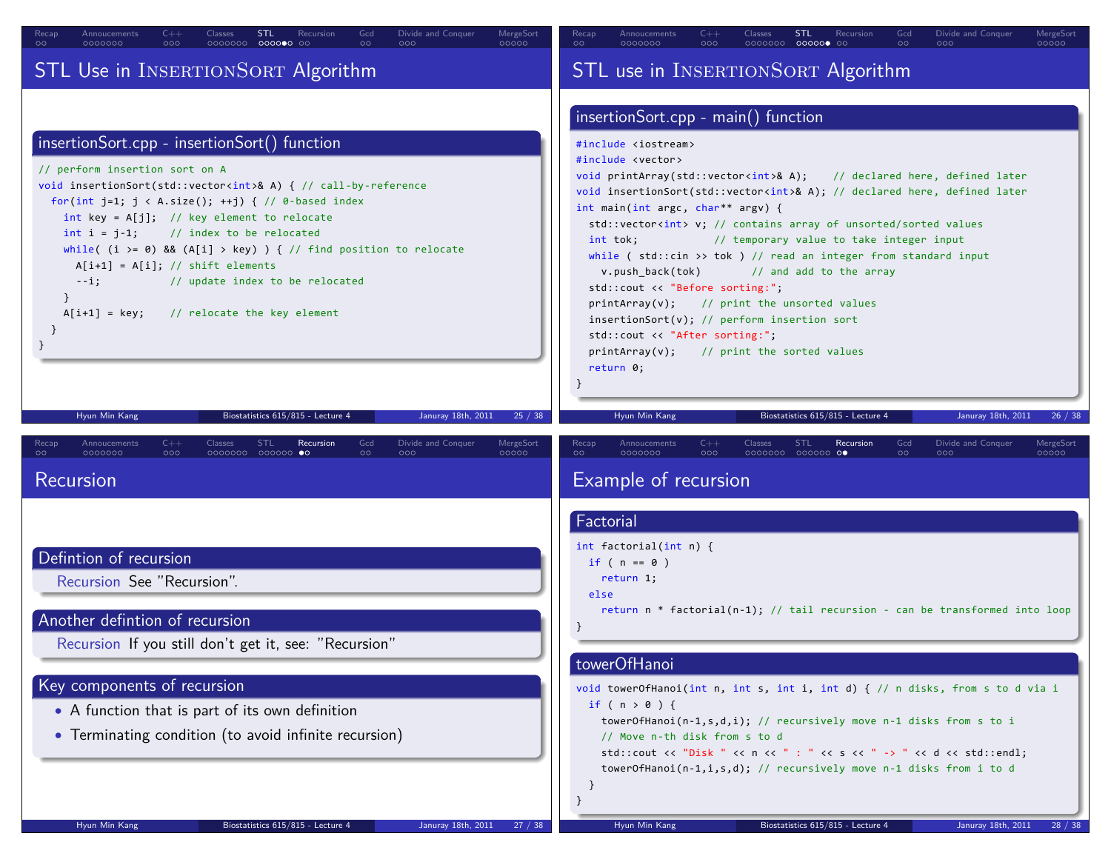| $C++$<br>Divide and Conquer<br>Recap<br>Classes<br><b>STL</b><br>Gcd<br>MergeSort<br>Annoucements<br>Recursion<br>000000 00<br>$\circ$<br>0000000<br>000<br>0000000<br>$\circ$<br>000<br>00000                                                                                                                                                                                                                                                                                                                                                                                                                                                                                                                                                                | Divide and Conquer<br>Annoucements<br>$C++$<br>Classes<br><b>STL</b><br>Recursion<br>Gcd<br>MergeSort<br>Recap<br>00000<br>$\circ$<br>0000000<br>000<br>0000000<br>$\circ \circ$<br>000<br>00000<br>$\circ$                                                                                                                                                                                                                                                                                                                                                                                                                                                                                                                                                                                                                                                                                                                                                                  |
|---------------------------------------------------------------------------------------------------------------------------------------------------------------------------------------------------------------------------------------------------------------------------------------------------------------------------------------------------------------------------------------------------------------------------------------------------------------------------------------------------------------------------------------------------------------------------------------------------------------------------------------------------------------------------------------------------------------------------------------------------------------|------------------------------------------------------------------------------------------------------------------------------------------------------------------------------------------------------------------------------------------------------------------------------------------------------------------------------------------------------------------------------------------------------------------------------------------------------------------------------------------------------------------------------------------------------------------------------------------------------------------------------------------------------------------------------------------------------------------------------------------------------------------------------------------------------------------------------------------------------------------------------------------------------------------------------------------------------------------------------|
| STL Use in INSERTIONSORT Algorithm                                                                                                                                                                                                                                                                                                                                                                                                                                                                                                                                                                                                                                                                                                                            | STL use in INSERTIONSORT Algorithm                                                                                                                                                                                                                                                                                                                                                                                                                                                                                                                                                                                                                                                                                                                                                                                                                                                                                                                                           |
| insertionSort.cpp - insertionSort() function<br>// perform insertion sort on A<br>void insertionSort(std::vector <int>&amp; A) { // call-by-reference<br/>for(int j=1; <math>j &lt; A.size()</math>; ++j) { // 0-based index<br/>int key = <math>A[j]</math>; // key element to relocate<br/><math>int i = j-1;</math><br/><math>\frac{1}{2}</math> index to be relocated<br/>while( <math>(i \ge 0)</math> &amp;&amp; <math>(A[i] \ge key)</math> ) { // find position to relocate<br/><math>A[i+1] = A[i]; // shift elements</math><br/>// update index to be relocated<br/><math>--i;</math><br/><math>A[i+1] = key;</math><br/>// relocate the key element<br/>Hyun Min Kang<br/>Biostatistics 615/815 - Lecture 4<br/>Januray 18th, 2011<br/>25/38</int> | insertionSort.cpp - main() function<br>#include <iostream><br/>#include <vector><br/>void printArray(std::vector<int>&amp; A); // declared here, defined later<br/>void insertionSort(std::vector<int>&amp; A); // declared here, defined later<br/>int main(int argc, char** argv) {<br/>std::vector<int> v; // contains array of unsorted/sorted values<br/>// temporary value to take integer input<br/>int tok;<br/>while (<math>std::cin \gg tok</math>) // read an integer from standard input<br/>v.push_back(tok)<br/>// and add to the array<br/>std::cout &lt;&lt; "Before sorting:";<br/><math>printArray(v);</math> // print the unsorted values<br/><math>insertionSort(v); // perform insertion sort</math><br/>std::cout &lt;&lt; "After sorting:";<br/><math>printArray(v);</math> // print the sorted values<br/>return 0;<br/>Hyun Min Kang<br/>Biostatistics 615/815 - Lecture 4<br/>Januray 18th, 2011<br/>26 / 38</int></int></int></vector></iostream> |
| $C++$<br><b>STL</b><br>Recursion<br>Gcd<br>Divide and Conquer<br>MergeSort<br>Recap<br>Annoucements<br>Classes<br>$\circ \circ$<br>0000000<br>000<br>0000000 000000 00<br>000<br>00000<br>$\circ$<br>Recursion                                                                                                                                                                                                                                                                                                                                                                                                                                                                                                                                                | Annoucements<br>$C++$<br>Classes<br><b>STL</b><br>Recursion<br>Gcd<br>Divide and Conquer<br>MergeSort<br>Recap<br>$\circ$<br>0000000<br>000<br>0000000 000000 00<br>$\circ$<br>000<br>00000<br>Example of recursion                                                                                                                                                                                                                                                                                                                                                                                                                                                                                                                                                                                                                                                                                                                                                          |
| Defintion of recursion<br>Recursion See "Recursion".<br>Another defintion of recursion<br>Recursion If you still don't get it, see: "Recursion"<br>Key components of recursion<br>• A function that is part of its own definition<br>• Terminating condition (to avoid infinite recursion)                                                                                                                                                                                                                                                                                                                                                                                                                                                                    | Factorial<br>int factorial(int $n$ ) {<br>if ( $n == 0$ )<br>return 1;<br>else<br>return $n *$ factorial( $n-1$ ); // tail recursion - can be transformed into loop<br>towerOfHanoi<br>void towerOfHanoi(int n, int s, int i, int d) { // n disks, from s to d via i<br>if ( $n > 0$ ) {<br>towerOfHanoi(n-1,s,d,i); // recursively move n-1 disks from s to i<br>// Move n-th disk from s to d<br>std::cout << "Disk " << n << " : " << s << " -> " << d << std::endl;<br>towerOfHanoi(n-1,i,s,d); // recursively move n-1 disks from i to d                                                                                                                                                                                                                                                                                                                                                                                                                                |
| Hyun Min Kang<br>Biostatistics 615/815 - Lecture 4<br>Januray 18th, 2011<br>27/3                                                                                                                                                                                                                                                                                                                                                                                                                                                                                                                                                                                                                                                                              | Hyun Min Kang<br>Biostatistics 615/815 - Lecture 4<br>Januray 18th, 2011                                                                                                                                                                                                                                                                                                                                                                                                                                                                                                                                                                                                                                                                                                                                                                                                                                                                                                     |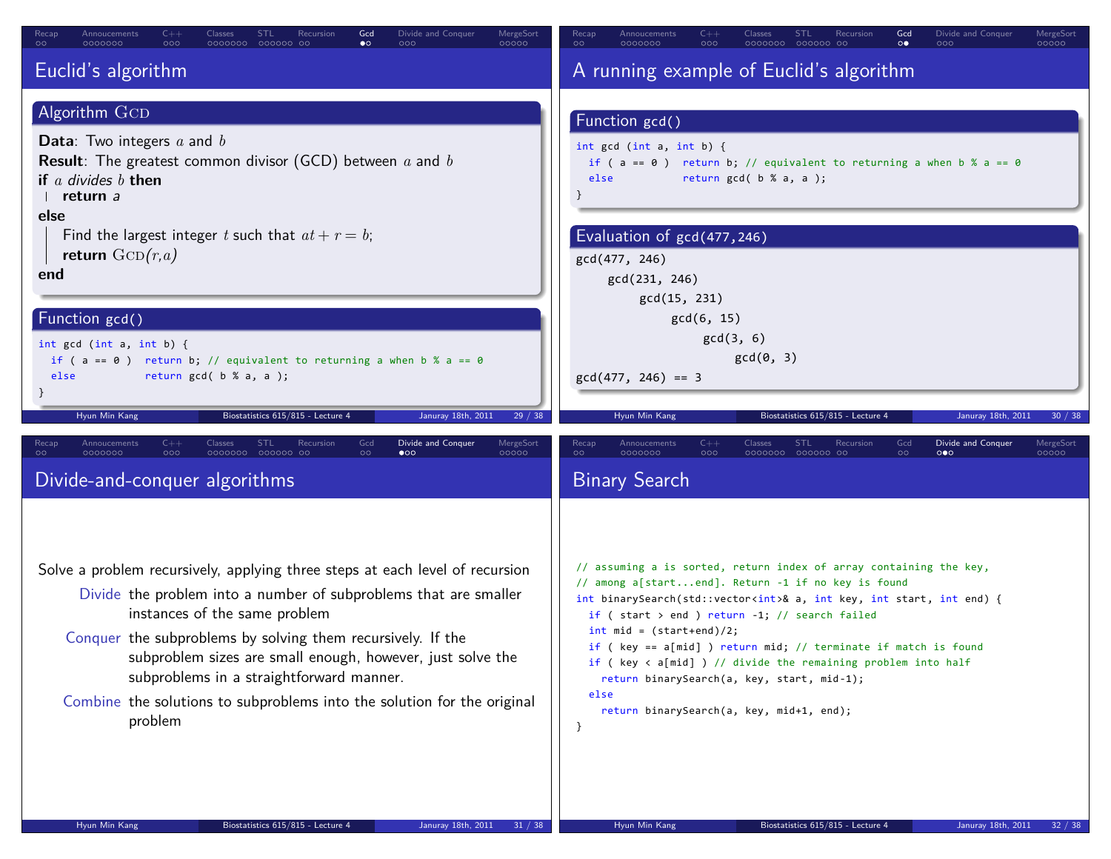| $C++$<br>Gcd<br>Divide and Conquer<br>MergeSort<br>Recap<br>Annoucements<br>Classes<br><b>STL</b><br>Recursion<br>$\bullet$<br>$\circ$<br>0000000<br>000<br>0000000<br>000000 00<br>000<br>00000                                                                                                                                                                                                                                                               | Divide and Conquer<br>MergeSort<br>Annoucements<br>$C++$<br>Classes<br>STL<br>Recursion<br>Gcd<br>Recap<br>$\circ\bullet$<br>$\circ$<br>0000000<br>000<br>0000000<br>000000 00<br>000<br>00000                                                                                                                                                                                                                                                                                                                                                                                                       |
|----------------------------------------------------------------------------------------------------------------------------------------------------------------------------------------------------------------------------------------------------------------------------------------------------------------------------------------------------------------------------------------------------------------------------------------------------------------|------------------------------------------------------------------------------------------------------------------------------------------------------------------------------------------------------------------------------------------------------------------------------------------------------------------------------------------------------------------------------------------------------------------------------------------------------------------------------------------------------------------------------------------------------------------------------------------------------|
| Euclid's algorithm<br>Algorithm GCD<br><b>Data:</b> Two integers $a$ and $b$<br><b>Result</b> : The greatest common divisor (GCD) between $a$ and $b$<br>if a divides $b$ then<br>return a<br>else<br>Find the largest integer t such that $at + r = b$ ;<br>return $\text{GCD}(r,a)$<br>end<br>Function gcd()<br>int $gcd (int a, int b)$ {<br>if ( $a == 0$ ) return b; // equivalent to returning a when b % $a == 0$<br>return $gcd( b % a, a )$ ;<br>else | A running example of Euclid's algorithm<br>Function gcd()<br>int $gcd (int a, int b)$ {<br>if ( $a == 0$ ) return b; // equivalent to returning a when b % a == 0<br>return $gcd(b % a, a)$ ;<br>else<br>Evaluation of gcd(477,246)<br>gcd(477, 246)<br>gcd(231, 246)<br>gcd(15, 231)<br>gcd(6, 15)<br>gcd(3, 6)<br>gcd(0, 3)<br>$gcd(477, 246) == 3$                                                                                                                                                                                                                                                |
| Januray 18th, 2011<br>29/38<br>Hyun Min Kang<br>Biostatistics 615/815 - Lecture 4<br>$C++$<br><b>STL</b><br>Gcd<br>Divide and Conquer<br><b>MergeSort</b><br>Annoucements<br>Classes<br>Recursion<br>Recap                                                                                                                                                                                                                                                     | Biostatistics 615/815 - Lecture 4<br>Januray 18th, 2011<br>Hyun Min Kang<br>30 / 38<br>Annoucements<br>Classes<br><b>STL</b><br>Divide and Conquer<br>Recap<br>$C++$<br>Recursion<br>Gcd<br>MergeSort                                                                                                                                                                                                                                                                                                                                                                                                |
| 000<br>0000000 000000 00<br>0000000<br>$\circ$<br>$\bullet$<br>00000<br>Divide-and-conquer algorithms                                                                                                                                                                                                                                                                                                                                                          | $\circ$<br>0000000<br>0000000 000000 00<br>000<br>$\circ$<br>$\circ \bullet \circ$<br>00000<br><b>Binary Search</b>                                                                                                                                                                                                                                                                                                                                                                                                                                                                                  |
| Solve a problem recursively, applying three steps at each level of recursion<br>Divide the problem into a number of subproblems that are smaller<br>instances of the same problem<br>Conquer the subproblems by solving them recursively. If the<br>subproblem sizes are small enough, however, just solve the<br>subproblems in a straightforward manner.<br>Combine the solutions to subproblems into the solution for the original<br>problem               | // assuming a is sorted, return index of array containing the key,<br>// among a[startend]. Return -1 if no key is found<br>int binarySearch(std::vector <int>&amp; a, int key, int start, int end) {<br/>if (start &gt; end ) return <math>-1</math>; // search failed<br/><math>int mid = (start+end)/2;</math><br/>if ( key == a[mid] ) return mid; // terminate if match is found<br/>if (<math>key &lt; a[mid]</math>) // divide the remaining problem into half<br/>return binarySearch(a, key, start, mid-1);<br/>else<br/>return binarySearch(a, key, mid+1, end);<br/><math>\}</math></int> |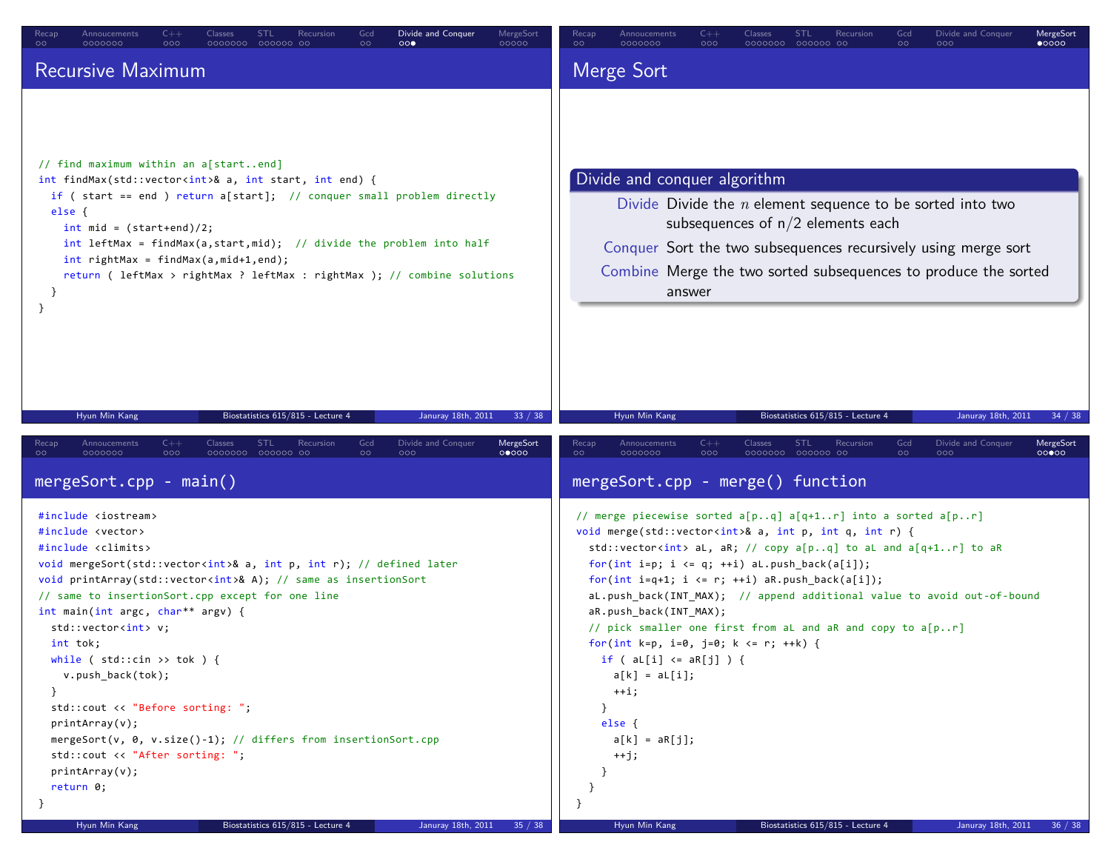| Recursive Maximum                                                                                                                                                                                                                                                                                                                                                                                                                                                                                                                                                                                                                                                                                                                                                                  | Merge Sort                                                                                                                                                                                                                                                                                                                                                                                                                                                                                                                                                                                                                                                                                                                                                                                                                 |
|------------------------------------------------------------------------------------------------------------------------------------------------------------------------------------------------------------------------------------------------------------------------------------------------------------------------------------------------------------------------------------------------------------------------------------------------------------------------------------------------------------------------------------------------------------------------------------------------------------------------------------------------------------------------------------------------------------------------------------------------------------------------------------|----------------------------------------------------------------------------------------------------------------------------------------------------------------------------------------------------------------------------------------------------------------------------------------------------------------------------------------------------------------------------------------------------------------------------------------------------------------------------------------------------------------------------------------------------------------------------------------------------------------------------------------------------------------------------------------------------------------------------------------------------------------------------------------------------------------------------|
|                                                                                                                                                                                                                                                                                                                                                                                                                                                                                                                                                                                                                                                                                                                                                                                    |                                                                                                                                                                                                                                                                                                                                                                                                                                                                                                                                                                                                                                                                                                                                                                                                                            |
| // find maximum within an a[startend]<br>int findMax(std::vector <int>&amp; a, int start, int end) {<br/>if ( start == end ) return a[start]; // conquer small problem directly<br/>else {<br/><math>int mid = (start+end)/2;</math><br/>int leftMax = findMax(a, start, mid); // divide the problem into half<br/><math>int rightMax = findMax(a, mid+1, end);</math><br/>return ( leftMax &gt; rightMax ? leftMax : rightMax ); // combine solutions<br/>-}</int>                                                                                                                                                                                                                                                                                                                | Divide and conquer algorithm<br>Divide Divide the $n$ element sequence to be sorted into two<br>subsequences of $n/2$ elements each<br>Conquer Sort the two subsequences recursively using merge sort<br>Combine Merge the two sorted subsequences to produce the sorted<br>answer                                                                                                                                                                                                                                                                                                                                                                                                                                                                                                                                         |
| Hyun Min Kang<br>Biostatistics 615/815 - Lecture 4<br>Januray 18th, 2011<br>33 / 38                                                                                                                                                                                                                                                                                                                                                                                                                                                                                                                                                                                                                                                                                                | Hyun Min Kang<br>Biostatistics 615/815 - Lecture 4<br>Januray 18th, 2011<br>34 / 38                                                                                                                                                                                                                                                                                                                                                                                                                                                                                                                                                                                                                                                                                                                                        |
| $C++$<br>Classes<br><b>STL</b><br>Recursion<br>Gcd<br>Divide and Conquer<br>MergeSort<br>Recap<br>Annoucements<br>$\circ \circ$<br>0000000<br>000<br>0000000 000000 00<br>000<br>00000<br>$\circ$<br>$mergeSort.cpp - main()$                                                                                                                                                                                                                                                                                                                                                                                                                                                                                                                                                      | $C++$<br>Classes<br><b>STL</b><br>Recursion<br>Divide and Conquer<br>MergeSort<br>Recap<br>Annoucements<br>Gcd<br>$\circ$<br>0000000<br>000<br>0000000 000000 00<br>$\circ$<br>000<br>00000<br>mergeSort.cpp - merge() function                                                                                                                                                                                                                                                                                                                                                                                                                                                                                                                                                                                            |
| #include <iostream><br/>#include <vector><br/>#include <climits><br/>void mergeSort(std::vector<int>&amp; a, int p, int r); // defined later<br/>void printArray(std::vector<int>&amp; A); // same as insertionSort<br/>// same to insertionSort.cpp except for one line<br/>int main(int argc, char** argv) {<br/>std::vector<int> v;<br/>int tok;<br/>while (<math>std::cin \gg tok</math>) {<br/>v.push_back(tok);<br/>ł<br/>std::cout &lt;&lt; "Before sorting: ";<br/>printArray(v);<br/>mergeSort(v, 0, v.size()-1); // differs from insertionSort.cpp<br/>std::cout &lt;&lt; "After sorting: ";<br/>printArray(v);<br/>return 0;<br/>Hyun Min Kang<br/>Biostatistics 615/815 - Lecture 4<br/>Januray 18th, 2011<br/>35 / 38</int></int></int></climits></vector></iostream> | // merge piecewise sorted a[pq] a[q+1r] into a sorted a[pr]<br>void merge(std::vector <int>&amp; a, int p, int q, int r) {<br/>std::vector<int> aL, aR; // copy a[pq] to aL and a[q+1r] to aR<br/>for(int i=p; i <math>\leftarrow</math> q; ++i) aL.push_back(a[i]);<br/>for(int i=q+1; i &lt;= r; ++i) aR.push_back(a[i]);<br/>aL.push_back(INT_MAX); // append additional value to avoid out-of-bound<br/>aR.push_back(INT_MAX);<br/>// pick smaller one first from aL and aR and copy to a[pr]<br/>for(int k=p, i=0, j=0; k &lt;= r; ++k) {<br/><math>if (al[i] &lt; = aR[j])</math> {<br/><math>a[k] = a[j];</math><br/><math>+</math>i;<br/>else {<br/><math>a[k] = aR[j];</math><br/><math>+</math>j;<br/>- 1<br/>Hyun Min Kang<br/>Biostatistics 615/815 - Lecture 4<br/>Januray 18th, 2011<br/>36 / 38</int></int> |

 $\overline{\phantom{a}}$